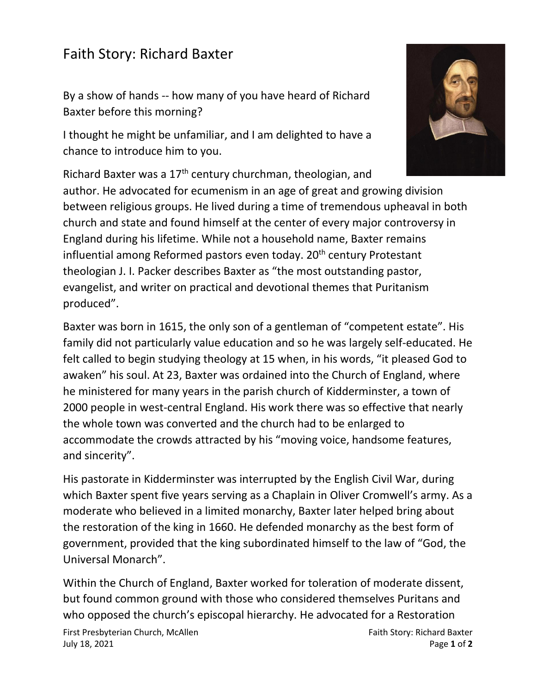## Faith Story: Richard Baxter

By a show of hands -- how many of you have heard of Richard Baxter before this morning?

I thought he might be unfamiliar, and I am delighted to have a chance to introduce him to you.



Baxter was born in 1615, the only son of a gentleman of "competent estate". His family did not particularly value education and so he was largely self-educated. He felt called to begin studying theology at 15 when, in his words, "it pleased God to awaken" his soul. At 23, Baxter was ordained into the Church of England, where he ministered for many years in the parish church of Kidderminster, a town of 2000 people in west-central England. His work there was so effective that nearly the whole town was converted and the church had to be enlarged to accommodate the crowds attracted by his "moving voice, handsome features, and sincerity".

His pastorate in Kidderminster was interrupted by the English Civil War, during which Baxter spent five years serving as a Chaplain in Oliver Cromwell's army. As a moderate who believed in a limited monarchy, Baxter later helped bring about the restoration of the king in 1660. He defended monarchy as the best form of government, provided that the king subordinated himself to the law of "God, the Universal Monarch".

Within the Church of England, Baxter worked for toleration of moderate dissent, but found common ground with those who considered themselves Puritans and who opposed the church's episcopal hierarchy. He advocated for a Restoration

First Presbyterian Church, McAllen Faith Story: Richard Baxter July 18, 2021 Page **1** of **2**